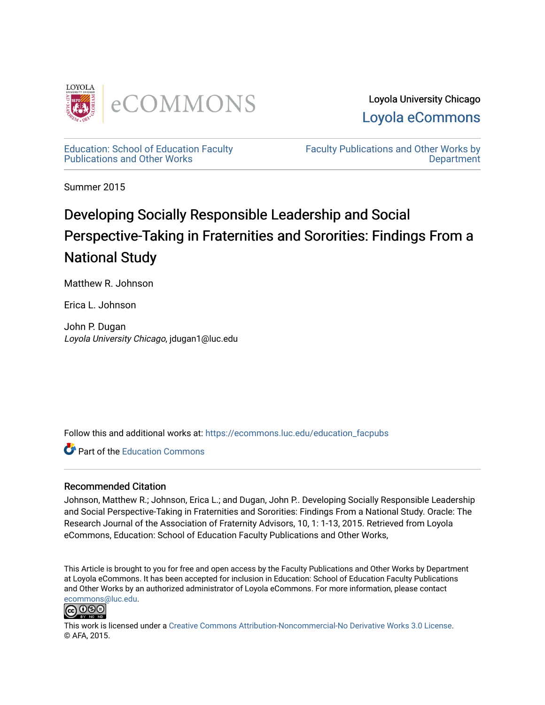

Loyola University Chicago [Loyola eCommons](https://ecommons.luc.edu/) 

[Education: School of Education Faculty](https://ecommons.luc.edu/education_facpubs)  [Publications and Other Works](https://ecommons.luc.edu/education_facpubs) 

[Faculty Publications and Other Works by](https://ecommons.luc.edu/faculty)  **Department** 

Summer 2015

# Developing Socially Responsible Leadership and Social Perspective-Taking in Fraternities and Sororities: Findings From a National Study

Matthew R. Johnson

Erica L. Johnson

John P. Dugan Loyola University Chicago, jdugan1@luc.edu

Follow this and additional works at: [https://ecommons.luc.edu/education\\_facpubs](https://ecommons.luc.edu/education_facpubs?utm_source=ecommons.luc.edu%2Feducation_facpubs%2F72&utm_medium=PDF&utm_campaign=PDFCoverPages) 

**C** Part of the [Education Commons](http://network.bepress.com/hgg/discipline/784?utm_source=ecommons.luc.edu%2Feducation_facpubs%2F72&utm_medium=PDF&utm_campaign=PDFCoverPages)

# Recommended Citation

Johnson, Matthew R.; Johnson, Erica L.; and Dugan, John P.. Developing Socially Responsible Leadership and Social Perspective-Taking in Fraternities and Sororities: Findings From a National Study. Oracle: The Research Journal of the Association of Fraternity Advisors, 10, 1: 1-13, 2015. Retrieved from Loyola eCommons, Education: School of Education Faculty Publications and Other Works,

This Article is brought to you for free and open access by the Faculty Publications and Other Works by Department at Loyola eCommons. It has been accepted for inclusion in Education: School of Education Faculty Publications and Other Works by an authorized administrator of Loyola eCommons. For more information, please contact [ecommons@luc.edu](mailto:ecommons@luc.edu).



This work is licensed under a [Creative Commons Attribution-Noncommercial-No Derivative Works 3.0 License.](https://creativecommons.org/licenses/by-nc-nd/3.0/) © AFA, 2015.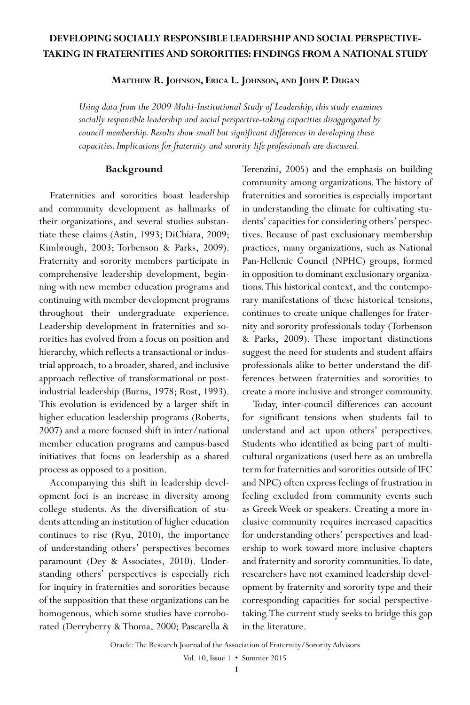# **DEVELOPING SOCIALLY RESPONSIBLE LEADERSHIP AND SOCIAL PERSPECTIVE-TAKING IN FRATERNITIES AND SORORITIES: FINDINGS FROM A NATIONAL STUDY**

**Matthew R. Johnson, Erica L. Johnson, and John P. Dugan**

*Using data from the 2009 Multi-Institutional Study of Leadership, this study examines socially responsible leadership and social perspective-taking capacities disaggregated by council membership. Results show small but significant differences in developing these capacities. Implications for fraternity and sorority life professionals are discussed.*

#### **Background**

Fraternities and sororities boast leadership and community development as hallmarks of their organizations, and several studies substantiate these claims (Astin, 1993; DiChiara, 2009; Kimbrough, 2003; Torbenson & Parks, 2009). Fraternity and sorority members participate in comprehensive leadership development, beginning with new member education programs and continuing with member development programs throughout their undergraduate experience. Leadership development in fraternities and sororities has evolved from a focus on position and hierarchy, which reflects a transactional or industrial approach, to a broader, shared, and inclusive approach reflective of transformational or postindustrial leadership (Burns, 1978; Rost, 1993). This evolution is evidenced by a larger shift in higher education leadership programs (Roberts, 2007) and a more focused shift in inter/national member education programs and campus-based initiatives that focus on leadership as a shared process as opposed to a position.

Accompanying this shift in leadership development foci is an increase in diversity among college students. As the diversification of students attending an institution of higher education continues to rise (Ryu, 2010), the importance of understanding others' perspectives becomes paramount (Dey & Associates, 2010). Understanding others' perspectives is especially rich for inquiry in fraternities and sororities because of the supposition that these organizations can be homogenous, which some studies have corroborated (Derryberry & Thoma, 2000; Pascarella &

Terenzini, 2005) and the emphasis on building community among organizations. The history of fraternities and sororities is especially important in understanding the climate for cultivating students' capacities for considering others' perspectives. Because of past exclusionary membership practices, many organizations, such as National Pan-Hellenic Council (NPHC) groups, formed in opposition to dominant exclusionary organizations. This historical context, and the contemporary manifestations of these historical tensions, continues to create unique challenges for fraternity and sorority professionals today (Torbenson & Parks, 2009). These important distinctions suggest the need for students and student affairs professionals alike to better understand the differences between fraternities and sororities to create a more inclusive and stronger community.

Today, inter-council differences can account for significant tensions when students fail to understand and act upon others' perspectives. Students who identified as being part of multicultural organizations (used here as an umbrella term for fraternities and sororities outside of IFC and NPC) often express feelings of frustration in feeling excluded from community events such as Greek Week or speakers. Creating a more inclusive community requires increased capacities for understanding others' perspectives and leadership to work toward more inclusive chapters and fraternity and sorority communities. To date, researchers have not examined leadership development by fraternity and sorority type and their corresponding capacities for social perspectivetaking. The current study seeks to bridge this gap in the literature.

Oracle: The Research Journal of the Association of Fraternity/Sorority Advisors

Vol. 10, Issue 1 • Summer 2015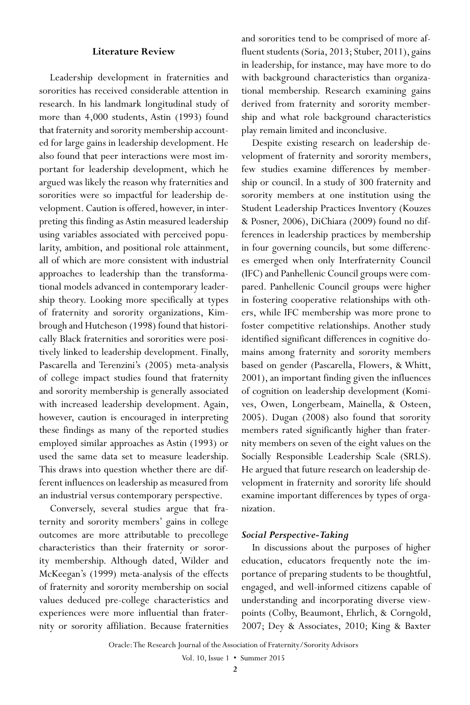# **Literature Review**

Leadership development in fraternities and sororities has received considerable attention in research. In his landmark longitudinal study of more than 4,000 students, Astin (1993) found that fraternity and sorority membership accounted for large gains in leadership development. He also found that peer interactions were most important for leadership development, which he argued was likely the reason why fraternities and sororities were so impactful for leadership development. Caution is offered, however, in interpreting this finding as Astin measured leadership using variables associated with perceived popularity, ambition, and positional role attainment, all of which are more consistent with industrial approaches to leadership than the transformational models advanced in contemporary leadership theory. Looking more specifically at types of fraternity and sorority organizations, Kimbrough and Hutcheson (1998) found that historically Black fraternities and sororities were positively linked to leadership development. Finally, Pascarella and Terenzini's (2005) meta-analysis of college impact studies found that fraternity and sorority membership is generally associated with increased leadership development. Again, however, caution is encouraged in interpreting these findings as many of the reported studies employed similar approaches as Astin (1993) or used the same data set to measure leadership. This draws into question whether there are different influences on leadership as measured from an industrial versus contemporary perspective.

Conversely, several studies argue that fraternity and sorority members' gains in college outcomes are more attributable to precollege characteristics than their fraternity or sorority membership. Although dated, Wilder and McKeegan's (1999) meta-analysis of the effects of fraternity and sorority membership on social values deduced pre-college characteristics and experiences were more influential than fraternity or sorority affiliation. Because fraternities and sororities tend to be comprised of more affluent students (Soria, 2013; Stuber, 2011), gains in leadership, for instance, may have more to do with background characteristics than organizational membership. Research examining gains derived from fraternity and sorority membership and what role background characteristics play remain limited and inconclusive.

Despite existing research on leadership development of fraternity and sorority members, few studies examine differences by membership or council. In a study of 300 fraternity and sorority members at one institution using the Student Leadership Practices Inventory (Kouzes & Posner, 2006), DiChiara (2009) found no differences in leadership practices by membership in four governing councils, but some differences emerged when only Interfraternity Council (IFC) and Panhellenic Council groups were compared. Panhellenic Council groups were higher in fostering cooperative relationships with others, while IFC membership was more prone to foster competitive relationships. Another study identified significant differences in cognitive domains among fraternity and sorority members based on gender (Pascarella, Flowers, & Whitt, 2001), an important finding given the influences of cognition on leadership development (Komives, Owen, Longerbeam, Mainella, & Osteen, 2005). Dugan (2008) also found that sorority members rated significantly higher than fraternity members on seven of the eight values on the Socially Responsible Leadership Scale (SRLS). He argued that future research on leadership development in fraternity and sorority life should examine important differences by types of organization.

#### *Social Perspective-Taking*

In discussions about the purposes of higher education, educators frequently note the importance of preparing students to be thoughtful, engaged, and well-informed citizens capable of understanding and incorporating diverse viewpoints (Colby, Beaumont, Ehrlich, & Corngold, 2007; Dey & Associates, 2010; King & Baxter

Oracle: The Research Journal of the Association of Fraternity/Sorority Advisors

Vol. 10, Issue 1 • Summer 2015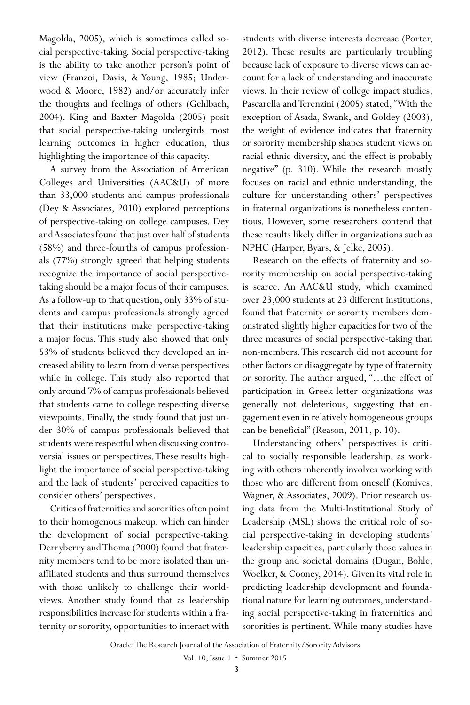Magolda, 2005), which is sometimes called social perspective-taking. Social perspective-taking is the ability to take another person's point of view (Franzoi, Davis, & Young, 1985; Underwood & Moore, 1982) and/or accurately infer the thoughts and feelings of others (Gehlbach, 2004). King and Baxter Magolda (2005) posit that social perspective-taking undergirds most learning outcomes in higher education, thus highlighting the importance of this capacity.

A survey from the Association of American Colleges and Universities (AAC&U) of more than 33,000 students and campus professionals (Dey & Associates, 2010) explored perceptions of perspective-taking on college campuses. Dey and Associates found that just over half of students (58%) and three-fourths of campus professionals (77%) strongly agreed that helping students recognize the importance of social perspectivetaking should be a major focus of their campuses. As a follow-up to that question, only 33% of students and campus professionals strongly agreed that their institutions make perspective-taking a major focus. This study also showed that only 53% of students believed they developed an increased ability to learn from diverse perspectives while in college. This study also reported that only around 7% of campus professionals believed that students came to college respecting diverse viewpoints. Finally, the study found that just under 30% of campus professionals believed that students were respectful when discussing controversial issues or perspectives. These results highlight the importance of social perspective-taking and the lack of students' perceived capacities to consider others' perspectives.

Critics of fraternities and sororities often point to their homogenous makeup, which can hinder the development of social perspective-taking. Derryberry and Thoma (2000) found that fraternity members tend to be more isolated than unaffiliated students and thus surround themselves with those unlikely to challenge their worldviews. Another study found that as leadership responsibilities increase for students within a fraternity or sorority, opportunities to interact with

students with diverse interests decrease (Porter, 2012). These results are particularly troubling because lack of exposure to diverse views can account for a lack of understanding and inaccurate views. In their review of college impact studies, Pascarella and Terenzini (2005) stated, "With the exception of Asada, Swank, and Goldey (2003), the weight of evidence indicates that fraternity or sorority membership shapes student views on racial-ethnic diversity, and the effect is probably negative" (p. 310). While the research mostly focuses on racial and ethnic understanding, the culture for understanding others' perspectives in fraternal organizations is nonetheless contentious. However, some researchers contend that these results likely differ in organizations such as NPHC (Harper, Byars, & Jelke, 2005).

Research on the effects of fraternity and sorority membership on social perspective-taking is scarce. An AAC&U study, which examined over 23,000 students at 23 different institutions, found that fraternity or sorority members demonstrated slightly higher capacities for two of the three measures of social perspective-taking than non-members. This research did not account for other factors or disaggregate by type of fraternity or sorority. The author argued, "…the effect of participation in Greek-letter organizations was generally not deleterious, suggesting that engagement even in relatively homogeneous groups can be beneficial" (Reason, 2011, p. 10).

Understanding others' perspectives is critical to socially responsible leadership, as working with others inherently involves working with those who are different from oneself (Komives, Wagner, & Associates, 2009). Prior research using data from the Multi-Institutional Study of Leadership (MSL) shows the critical role of social perspective-taking in developing students' leadership capacities, particularly those values in the group and societal domains (Dugan, Bohle, Woelker, & Cooney, 2014). Given its vital role in predicting leadership development and foundational nature for learning outcomes, understanding social perspective-taking in fraternities and sororities is pertinent. While many studies have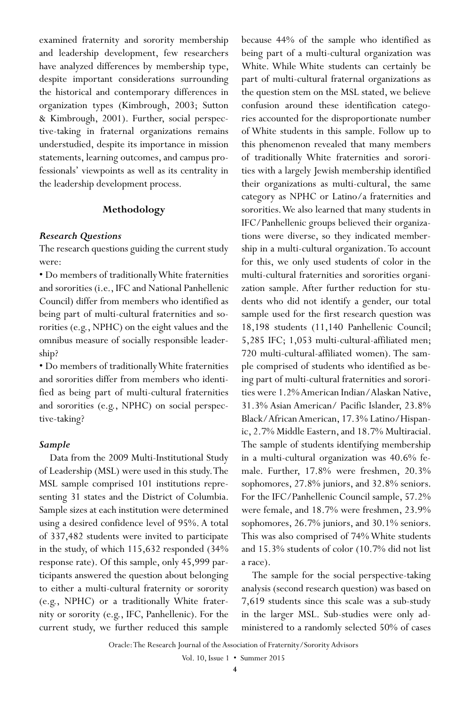examined fraternity and sorority membership and leadership development, few researchers have analyzed differences by membership type, despite important considerations surrounding the historical and contemporary differences in organization types (Kimbrough, 2003; Sutton & Kimbrough, 2001). Further, social perspective-taking in fraternal organizations remains understudied, despite its importance in mission statements, learning outcomes, and campus professionals' viewpoints as well as its centrality in the leadership development process.

# **Methodology**

#### *Research Questions*

The research questions guiding the current study were:

• Do members of traditionally White fraternities and sororities (i.e., IFC and National Panhellenic Council) differ from members who identified as being part of multi-cultural fraternities and sororities (e.g., NPHC) on the eight values and the omnibus measure of socially responsible leadership?

• Do members of traditionally White fraternities and sororities differ from members who identified as being part of multi-cultural fraternities and sororities (e.g., NPHC) on social perspective-taking?

#### *Sample*

Data from the 2009 Multi-Institutional Study of Leadership (MSL) were used in this study. The MSL sample comprised 101 institutions representing 31 states and the District of Columbia. Sample sizes at each institution were determined using a desired confidence level of 95%. A total of 337,482 students were invited to participate in the study, of which 115,632 responded (34% response rate). Of this sample, only 45,999 participants answered the question about belonging to either a multi-cultural fraternity or sorority (e.g., NPHC) or a traditionally White fraternity or sorority (e.g., IFC, Panhellenic). For the current study, we further reduced this sample

because 44% of the sample who identified as being part of a multi-cultural organization was White. While White students can certainly be part of multi-cultural fraternal organizations as the question stem on the MSL stated, we believe confusion around these identification categories accounted for the disproportionate number of White students in this sample. Follow up to this phenomenon revealed that many members of traditionally White fraternities and sororities with a largely Jewish membership identified their organizations as multi-cultural, the same category as NPHC or Latino/a fraternities and sororities. We also learned that many students in IFC/Panhellenic groups believed their organizations were diverse, so they indicated membership in a multi-cultural organization. To account for this, we only used students of color in the multi-cultural fraternities and sororities organization sample. After further reduction for students who did not identify a gender, our total sample used for the first research question was 18,198 students (11,140 Panhellenic Council; 5,285 IFC; 1,053 multi-cultural-affiliated men; 720 multi-cultural-affiliated women). The sample comprised of students who identified as being part of multi-cultural fraternities and sororities were 1.2% American Indian/Alaskan Native, 31.3% Asian American/ Pacific Islander, 23.8% Black/African American, 17.3% Latino/Hispanic, 2.7% Middle Eastern, and 18.7% Multiracial. The sample of students identifying membership in a multi-cultural organization was 40.6% female. Further, 17.8% were freshmen, 20.3% sophomores, 27.8% juniors, and 32.8% seniors. For the IFC/Panhellenic Council sample, 57.2% were female, and 18.7% were freshmen, 23.9% sophomores, 26.7% juniors, and 30.1% seniors. This was also comprised of 74% White students and 15.3% students of color (10.7% did not list a race).

The sample for the social perspective-taking analysis (second research question) was based on 7,619 students since this scale was a sub-study in the larger MSL. Sub-studies were only administered to a randomly selected 50% of cases

Oracle: The Research Journal of the Association of Fraternity/Sorority Advisors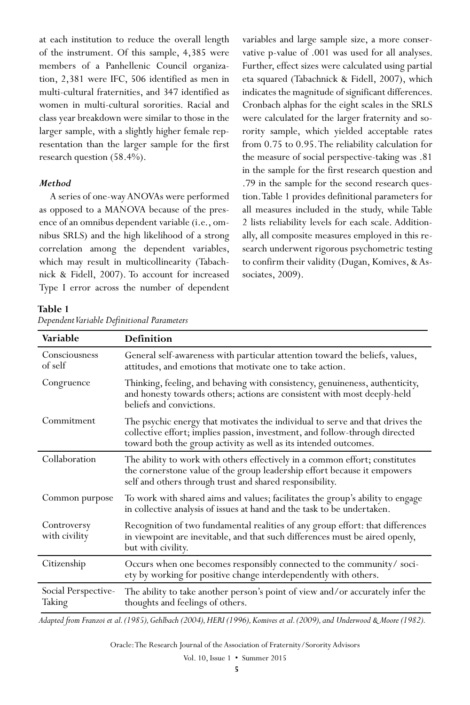at each institution to reduce the overall length of the instrument. Of this sample, 4,385 were members of a Panhellenic Council organization, 2,381 were IFC, 506 identified as men in multi-cultural fraternities, and 347 identified as women in multi-cultural sororities. Racial and class year breakdown were similar to those in the larger sample, with a slightly higher female representation than the larger sample for the first research question (58.4%).

# *Method*

A series of one-way ANOVAs were performed as opposed to a MANOVA because of the presence of an omnibus dependent variable (i.e., omnibus SRLS) and the high likelihood of a strong correlation among the dependent variables, which may result in multicollinearity (Tabachnick & Fidell, 2007). To account for increased Type I error across the number of dependent variables and large sample size, a more conservative p-value of .001 was used for all analyses. Further, effect sizes were calculated using partial eta squared (Tabachnick & Fidell, 2007), which indicates the magnitude of significant differences. Cronbach alphas for the eight scales in the SRLS were calculated for the larger fraternity and sorority sample, which yielded acceptable rates from 0.75 to 0.95. The reliability calculation for the measure of social perspective-taking was .81 in the sample for the first research question and .79 in the sample for the second research question. Table 1 provides definitional parameters for all measures included in the study, while Table 2 lists reliability levels for each scale. Additionally, all composite measures employed in this research underwent rigorous psychometric testing to confirm their validity (Dugan, Komives, & Associates, 2009).

#### **Table 1**

|  |  | Dependent Variable Definitional Parameters |
|--|--|--------------------------------------------|
|  |  |                                            |

| Variable                      | <b>Definition</b>                                                                                                                                                                                                                |
|-------------------------------|----------------------------------------------------------------------------------------------------------------------------------------------------------------------------------------------------------------------------------|
| Consciousness<br>of self      | General self-awareness with particular attention toward the beliefs, values,<br>attitudes, and emotions that motivate one to take action.                                                                                        |
| Congruence                    | Thinking, feeling, and behaving with consistency, genuineness, authenticity,<br>and honesty towards others; actions are consistent with most deeply-held<br>beliefs and convictions.                                             |
| Commitment                    | The psychic energy that motivates the individual to serve and that drives the<br>collective effort; implies passion, investment, and follow-through directed<br>toward both the group activity as well as its intended outcomes. |
| Collaboration                 | The ability to work with others effectively in a common effort; constitutes<br>the cornerstone value of the group leadership effort because it empowers<br>self and others through trust and shared responsibility.              |
| Common purpose                | To work with shared aims and values; facilitates the group's ability to engage<br>in collective analysis of issues at hand and the task to be undertaken.                                                                        |
| Controversy<br>with civility  | Recognition of two fundamental realities of any group effort: that differences<br>in viewpoint are inevitable, and that such differences must be aired openly,<br>but with civility.                                             |
| Citizenship                   | Occurs when one becomes responsibly connected to the community/soci-<br>ety by working for positive change interdependently with others.                                                                                         |
| Social Perspective-<br>Taking | The ability to take another person's point of view and/or accurately infer the<br>thoughts and feelings of others.                                                                                                               |

*Adapted from Franzoi et al. (1985), Gehlbach (2004), HERI (1996), Komives et al. (2009), and Underwood & Moore (1982).*

Oracle: The Research Journal of the Association of Fraternity/Sorority Advisors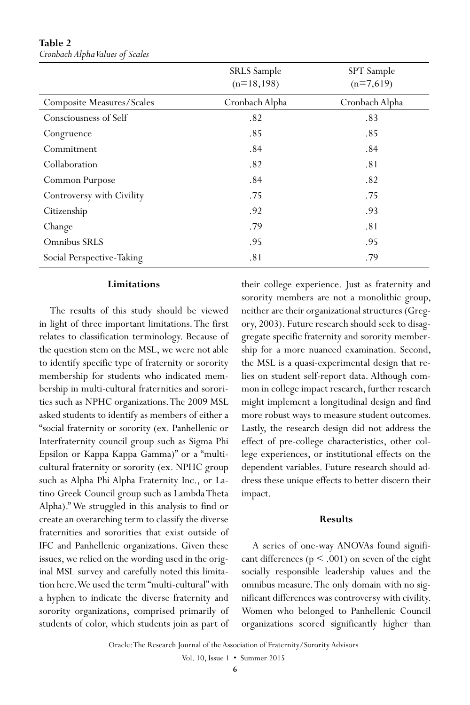# **Table 2** *Cronbach Alpha Values of Scales*

|                           | <b>SRLS</b> Sample<br>$(n=18, 198)$ | SPT Sample<br>$(n=7,619)$ |
|---------------------------|-------------------------------------|---------------------------|
| Composite Measures/Scales | Cronbach Alpha                      | Cronbach Alpha            |
| Consciousness of Self     | .82                                 | .83                       |
| Congruence                | .85                                 | .85                       |
| Commitment                | .84                                 | .84                       |
| Collaboration             | .82                                 | .81                       |
| Common Purpose            | .84                                 | .82                       |
| Controversy with Civility | .75                                 | .75                       |
| Citizenship               | .92                                 | .93                       |
| Change                    | .79                                 | .81                       |
| Omnibus SRLS              | .95                                 | .95                       |
| Social Perspective-Taking | .81                                 | .79                       |

# **Limitations**

The results of this study should be viewed in light of three important limitations. The first relates to classification terminology. Because of the question stem on the MSL, we were not able to identify specific type of fraternity or sorority membership for students who indicated membership in multi-cultural fraternities and sororities such as NPHC organizations. The 2009 MSL asked students to identify as members of either a "social fraternity or sorority (ex. Panhellenic or Interfraternity council group such as Sigma Phi Epsilon or Kappa Kappa Gamma)" or a "multicultural fraternity or sorority (ex. NPHC group such as Alpha Phi Alpha Fraternity Inc., or Latino Greek Council group such as Lambda Theta Alpha)." We struggled in this analysis to find or create an overarching term to classify the diverse fraternities and sororities that exist outside of IFC and Panhellenic organizations. Given these issues, we relied on the wording used in the original MSL survey and carefully noted this limitation here. We used the term "multi-cultural" with a hyphen to indicate the diverse fraternity and sorority organizations, comprised primarily of students of color, which students join as part of their college experience. Just as fraternity and sorority members are not a monolithic group, neither are their organizational structures (Gregory, 2003). Future research should seek to disaggregate specific fraternity and sorority membership for a more nuanced examination. Second, the MSL is a quasi-experimental design that relies on student self-report data. Although common in college impact research, further research might implement a longitudinal design and find more robust ways to measure student outcomes. Lastly, the research design did not address the effect of pre-college characteristics, other college experiences, or institutional effects on the dependent variables. Future research should address these unique effects to better discern their impact.

# **Results**

A series of one-way ANOVAs found significant differences ( $p \le 0.001$ ) on seven of the eight socially responsible leadership values and the omnibus measure. The only domain with no significant differences was controversy with civility. Women who belonged to Panhellenic Council organizations scored significantly higher than

Oracle: The Research Journal of the Association of Fraternity/Sorority Advisors

Vol. 10, Issue 1 • Summer 2015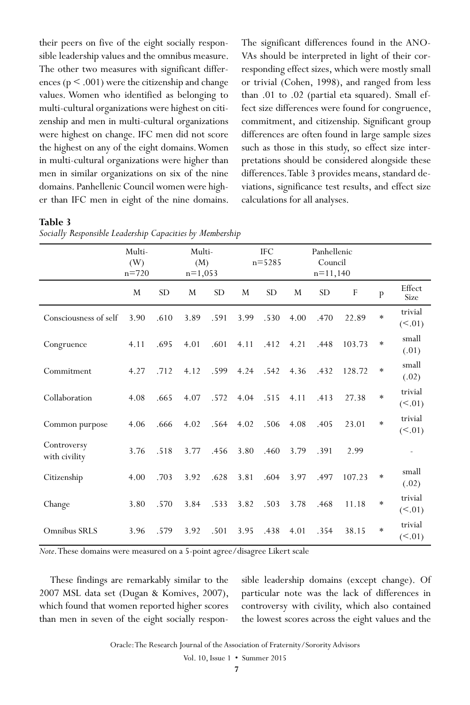their peers on five of the eight socially responsible leadership values and the omnibus measure. The other two measures with significant differences ( $p < .001$ ) were the citizenship and change values. Women who identified as belonging to multi-cultural organizations were highest on citizenship and men in multi-cultural organizations were highest on change. IFC men did not score the highest on any of the eight domains. Women in multi-cultural organizations were higher than men in similar organizations on six of the nine domains. Panhellenic Council women were higher than IFC men in eight of the nine domains. The significant differences found in the ANO-VAs should be interpreted in light of their corresponding effect sizes, which were mostly small or trivial (Cohen, 1998), and ranged from less than .01 to .02 (partial eta squared). Small effect size differences were found for congruence, commitment, and citizenship. Significant group differences are often found in large sample sizes such as those in this study, so effect size interpretations should be considered alongside these differences. Table 3 provides means, standard deviations, significance test results, and effect size calculations for all analyses.

# **Table 3**

|                              | Multi-<br>(W)<br>$n = 720$ |           | Multi-<br>(M)<br>$n=1,053$ |           | <b>IFC</b><br>$n = 5285$ |           | Panhellenic<br>Council<br>$n=11,140$ |           |        |        |                   |
|------------------------------|----------------------------|-----------|----------------------------|-----------|--------------------------|-----------|--------------------------------------|-----------|--------|--------|-------------------|
|                              | M                          | <b>SD</b> | M                          | <b>SD</b> | M                        | <b>SD</b> | M                                    | <b>SD</b> | F      | p      | Effect<br>Size    |
| Consciousness of self        | 3.90                       | .610      | 3.89                       | .591      | 3.99                     | .530      | 4.00                                 | .470      | 22.89  | $\ast$ | trivial<br>(<.01) |
| Congruence                   | 4.11                       | .695      | 4.01                       | .601      | 4.11                     | .412      | 4.21                                 | .448      | 103.73 | $\ast$ | small<br>(.01)    |
| Commitment                   | 4.27                       | .712      | 4.12                       | .599      | 4.24 .542                |           | 4.36                                 | .432      | 128.72 | $\ast$ | small<br>(.02)    |
| Collaboration                | 4.08                       | .665      | 4.07                       | .572      | 4.04                     | .515      | 4.11                                 | .413      | 27.38  | $\ast$ | trivial<br>(<.01) |
| Common purpose               | 4.06                       | .666      | 4.02                       | .564      | 4.02                     | .506      | 4.08                                 | .405      | 23.01  | $\ast$ | trivial<br>(<.01) |
| Controversy<br>with civility | 3.76                       | .518      | 3.77                       | .456      | 3.80                     | .460      | 3.79                                 | .391      | 2.99   |        |                   |
| Citizenship                  | 4.00                       | .703      | 3.92                       | .628      | 3.81                     | .604      | 3.97                                 | .497      | 107.23 | $\ast$ | small<br>(.02)    |
| Change                       | 3.80                       | .570      | 3.84                       | .533      | 3.82                     | .503      | 3.78                                 | .468      | 11.18  | $\ast$ | trivial<br>(<.01) |
| Omnibus SRLS                 | 3.96                       | .579      | 3.92                       | .501      | 3.95                     | .438      | 4.01                                 | .354      | 38.15  | $\ast$ | trivial<br>(<.01) |

*Socially Responsible Leadership Capacities by Membership* 

*Note*. These domains were measured on a 5-point agree/disagree Likert scale

These findings are remarkably similar to the 2007 MSL data set (Dugan & Komives, 2007), which found that women reported higher scores than men in seven of the eight socially responsible leadership domains (except change). Of particular note was the lack of differences in controversy with civility, which also contained the lowest scores across the eight values and the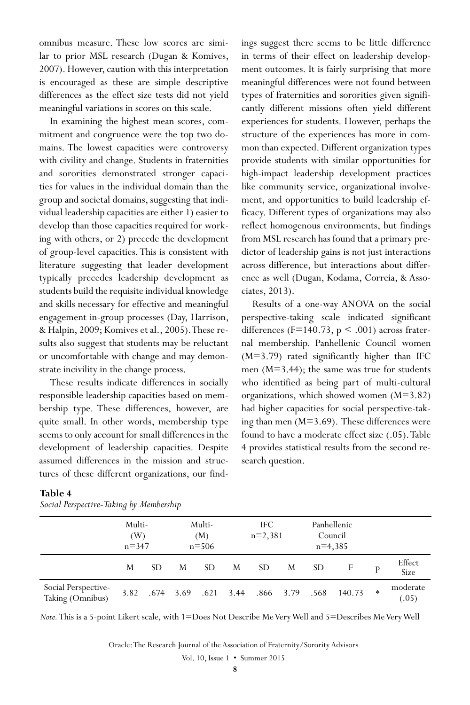omnibus measure. These low scores are similar to prior MSL research (Dugan & Komives, 2007). However, caution with this interpretation is encouraged as these are simple descriptive differences as the effect size tests did not yield meaningful variations in scores on this scale.

In examining the highest mean scores, commitment and congruence were the top two domains. The lowest capacities were controversy with civility and change. Students in fraternities and sororities demonstrated stronger capacities for values in the individual domain than the group and societal domains, suggesting that individual leadership capacities are either 1) easier to develop than those capacities required for working with others, or 2) precede the development of group-level capacities. This is consistent with literature suggesting that leader development typically precedes leadership development as students build the requisite individual knowledge and skills necessary for effective and meaningful engagement in-group processes (Day, Harrison, & Halpin, 2009; Komives et al., 2005). These results also suggest that students may be reluctant or uncomfortable with change and may demonstrate incivility in the change process.

These results indicate differences in socially responsible leadership capacities based on membership type. These differences, however, are quite small. In other words, membership type seems to only account for small differences in the development of leadership capacities. Despite assumed differences in the mission and structures of these different organizations, our findings suggest there seems to be little difference in terms of their effect on leadership development outcomes. It is fairly surprising that more meaningful differences were not found between types of fraternities and sororities given significantly different missions often yield different experiences for students. However, perhaps the structure of the experiences has more in common than expected. Different organization types provide students with similar opportunities for high-impact leadership development practices like community service, organizational involvement, and opportunities to build leadership efficacy. Different types of organizations may also reflect homogenous environments, but findings from MSL research has found that a primary predictor of leadership gains is not just interactions across difference, but interactions about difference as well (Dugan, Kodama, Correia, & Associates, 2013).

Results of a one-way ANOVA on the social perspective-taking scale indicated significant differences (F=140.73,  $p < .001$ ) across fraternal membership. Panhellenic Council women (M=3.79) rated significantly higher than IFC men  $(M=3.44)$ ; the same was true for students who identified as being part of multi-cultural organizations, which showed women (M=3.82) had higher capacities for social perspective-taking than men (M=3.69). These differences were found to have a moderate effect size (.05). Table 4 provides statistical results from the second research question.

#### **Table 4**

|                                         | $\cdots$                   |     |                            |     |   |                               |   |      |                                     |        |                   |
|-----------------------------------------|----------------------------|-----|----------------------------|-----|---|-------------------------------|---|------|-------------------------------------|--------|-------------------|
|                                         | Multi-<br>(W)<br>$n = 347$ |     | Multi-<br>(M)<br>$n = 506$ |     |   | IFC<br>$n=2,381$              |   |      | Panhellenic<br>Council<br>$n=4,385$ |        |                   |
|                                         | M                          | SD. | M                          | SD. | M | SD                            | M | SD.  | F                                   | р      | Effect<br>Size    |
| Social Perspective-<br>Taking (Omnibus) | 3.82                       |     |                            |     |   | .674 3.69 .621 3.44 .866 3.79 |   | .568 | 140.73                              | $\ast$ | moderate<br>(.05) |

*Social Perspective-Taking by Membership*

*Note.* This is a 5-point Likert scale, with 1=Does Not Describe Me Very Well and 5=Describes Me Very Well

Oracle: The Research Journal of the Association of Fraternity/Sorority Advisors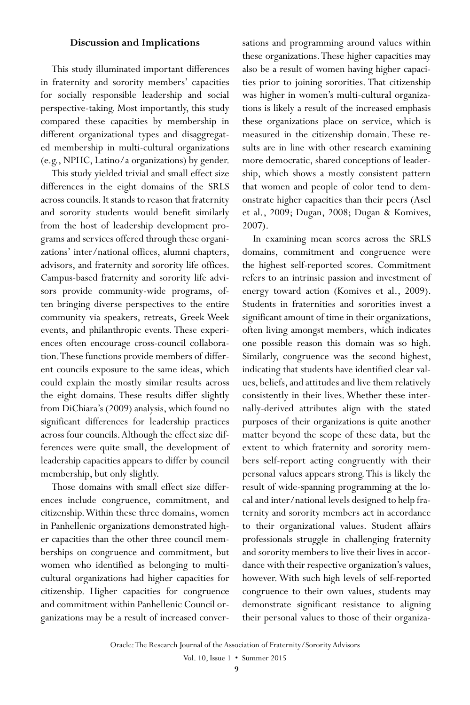#### **Discussion and Implications**

This study illuminated important differences in fraternity and sorority members' capacities for socially responsible leadership and social perspective-taking. Most importantly, this study compared these capacities by membership in different organizational types and disaggregated membership in multi-cultural organizations (e.g., NPHC, Latino/a organizations) by gender.

This study yielded trivial and small effect size differences in the eight domains of the SRLS across councils. It stands to reason that fraternity and sorority students would benefit similarly from the host of leadership development programs and services offered through these organizations' inter/national offices, alumni chapters, advisors, and fraternity and sorority life offices. Campus-based fraternity and sorority life advisors provide community-wide programs, often bringing diverse perspectives to the entire community via speakers, retreats, Greek Week events, and philanthropic events. These experiences often encourage cross-council collaboration. These functions provide members of different councils exposure to the same ideas, which could explain the mostly similar results across the eight domains. These results differ slightly from DiChiara's (2009) analysis, which found no significant differences for leadership practices across four councils. Although the effect size differences were quite small, the development of leadership capacities appears to differ by council membership, but only slightly.

Those domains with small effect size differences include congruence, commitment, and citizenship. Within these three domains, women in Panhellenic organizations demonstrated higher capacities than the other three council memberships on congruence and commitment, but women who identified as belonging to multicultural organizations had higher capacities for citizenship. Higher capacities for congruence and commitment within Panhellenic Council organizations may be a result of increased conversations and programming around values within these organizations. These higher capacities may also be a result of women having higher capacities prior to joining sororities. That citizenship was higher in women's multi-cultural organizations is likely a result of the increased emphasis these organizations place on service, which is measured in the citizenship domain. These results are in line with other research examining more democratic, shared conceptions of leadership, which shows a mostly consistent pattern that women and people of color tend to demonstrate higher capacities than their peers (Asel et al., 2009; Dugan, 2008; Dugan & Komives, 2007).

In examining mean scores across the SRLS domains, commitment and congruence were the highest self-reported scores. Commitment refers to an intrinsic passion and investment of energy toward action (Komives et al., 2009). Students in fraternities and sororities invest a significant amount of time in their organizations, often living amongst members, which indicates one possible reason this domain was so high. Similarly, congruence was the second highest, indicating that students have identified clear values, beliefs, and attitudes and live them relatively consistently in their lives. Whether these internally-derived attributes align with the stated purposes of their organizations is quite another matter beyond the scope of these data, but the extent to which fraternity and sorority members self-report acting congruently with their personal values appears strong. This is likely the result of wide-spanning programming at the local and inter/national levels designed to help fraternity and sorority members act in accordance to their organizational values. Student affairs professionals struggle in challenging fraternity and sorority members to live their lives in accordance with their respective organization's values, however. With such high levels of self-reported congruence to their own values, students may demonstrate significant resistance to aligning their personal values to those of their organiza-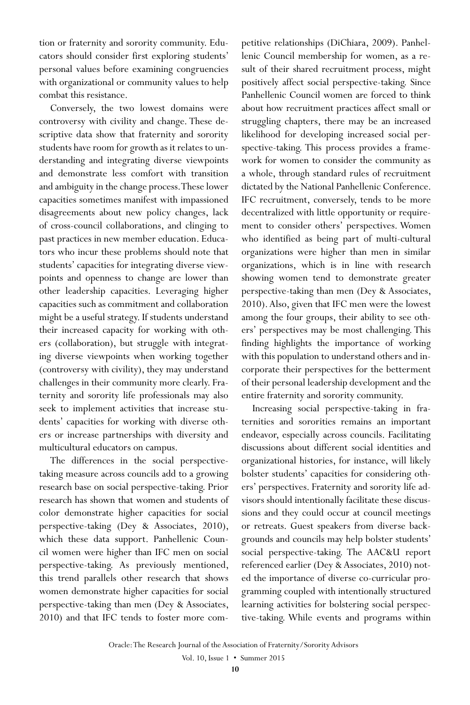tion or fraternity and sorority community. Educators should consider first exploring students' personal values before examining congruencies with organizational or community values to help combat this resistance.

Conversely, the two lowest domains were controversy with civility and change. These descriptive data show that fraternity and sorority students have room for growth as it relates to understanding and integrating diverse viewpoints and demonstrate less comfort with transition and ambiguity in the change process. These lower capacities sometimes manifest with impassioned disagreements about new policy changes, lack of cross-council collaborations, and clinging to past practices in new member education. Educators who incur these problems should note that students' capacities for integrating diverse viewpoints and openness to change are lower than other leadership capacities. Leveraging higher capacities such as commitment and collaboration might be a useful strategy. If students understand their increased capacity for working with others (collaboration), but struggle with integrating diverse viewpoints when working together (controversy with civility), they may understand challenges in their community more clearly. Fraternity and sorority life professionals may also seek to implement activities that increase students' capacities for working with diverse others or increase partnerships with diversity and multicultural educators on campus.

The differences in the social perspectivetaking measure across councils add to a growing research base on social perspective-taking. Prior research has shown that women and students of color demonstrate higher capacities for social perspective-taking (Dey & Associates, 2010), which these data support. Panhellenic Council women were higher than IFC men on social perspective-taking. As previously mentioned, this trend parallels other research that shows women demonstrate higher capacities for social perspective-taking than men (Dey & Associates, 2010) and that IFC tends to foster more competitive relationships (DiChiara, 2009). Panhellenic Council membership for women, as a result of their shared recruitment process, might positively affect social perspective-taking. Since Panhellenic Council women are forced to think about how recruitment practices affect small or struggling chapters, there may be an increased likelihood for developing increased social perspective-taking. This process provides a framework for women to consider the community as a whole, through standard rules of recruitment dictated by the National Panhellenic Conference. IFC recruitment, conversely, tends to be more decentralized with little opportunity or requirement to consider others' perspectives. Women who identified as being part of multi-cultural organizations were higher than men in similar organizations, which is in line with research showing women tend to demonstrate greater perspective-taking than men (Dey & Associates, 2010). Also, given that IFC men were the lowest among the four groups, their ability to see others' perspectives may be most challenging. This finding highlights the importance of working with this population to understand others and incorporate their perspectives for the betterment of their personal leadership development and the entire fraternity and sorority community.

Increasing social perspective-taking in fraternities and sororities remains an important endeavor, especially across councils. Facilitating discussions about different social identities and organizational histories, for instance, will likely bolster students' capacities for considering others' perspectives. Fraternity and sorority life advisors should intentionally facilitate these discussions and they could occur at council meetings or retreats. Guest speakers from diverse backgrounds and councils may help bolster students' social perspective-taking. The AAC&U report referenced earlier (Dey & Associates, 2010) noted the importance of diverse co-curricular programming coupled with intentionally structured learning activities for bolstering social perspective-taking. While events and programs within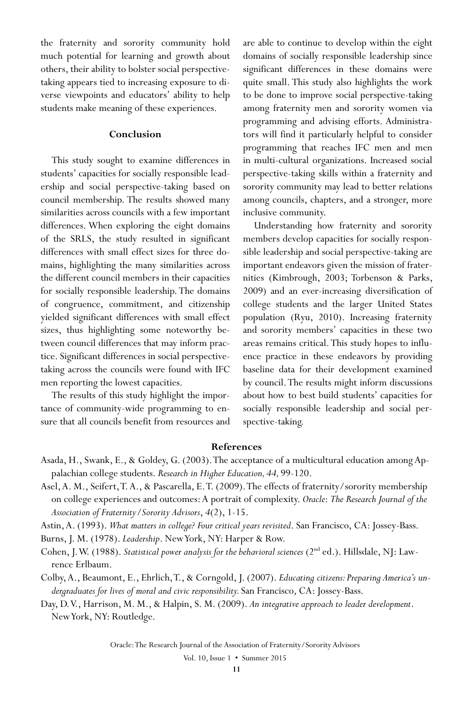the fraternity and sorority community hold much potential for learning and growth about others, their ability to bolster social perspectivetaking appears tied to increasing exposure to diverse viewpoints and educators' ability to help students make meaning of these experiences.

# **Conclusion**

This study sought to examine differences in students' capacities for socially responsible leadership and social perspective-taking based on council membership. The results showed many similarities across councils with a few important differences. When exploring the eight domains of the SRLS, the study resulted in significant differences with small effect sizes for three domains, highlighting the many similarities across the different council members in their capacities for socially responsible leadership. The domains of congruence, commitment, and citizenship yielded significant differences with small effect sizes, thus highlighting some noteworthy between council differences that may inform practice. Significant differences in social perspectivetaking across the councils were found with IFC men reporting the lowest capacities.

The results of this study highlight the importance of community-wide programming to ensure that all councils benefit from resources and are able to continue to develop within the eight domains of socially responsible leadership since significant differences in these domains were quite small. This study also highlights the work to be done to improve social perspective-taking among fraternity men and sorority women via programming and advising efforts. Administrators will find it particularly helpful to consider programming that reaches IFC men and men in multi-cultural organizations. Increased social perspective-taking skills within a fraternity and sorority community may lead to better relations among councils, chapters, and a stronger, more inclusive community.

Understanding how fraternity and sorority members develop capacities for socially responsible leadership and social perspective-taking are important endeavors given the mission of fraternities (Kimbrough, 2003; Torbenson & Parks, 2009) and an ever-increasing diversification of college students and the larger United States population (Ryu, 2010). Increasing fraternity and sorority members' capacities in these two areas remains critical. This study hopes to influence practice in these endeavors by providing baseline data for their development examined by council. The results might inform discussions about how to best build students' capacities for socially responsible leadership and social perspective-taking.

# **References**

- Asada, H., Swank, E., & Goldey, G. (2003). The acceptance of a multicultural education among Appalachian college students. *Research in Higher Education, 44,* 99-120.
- Asel, A. M., Seifert, T. A., & Pascarella, E. T. (2009). The effects of fraternity/sorority membership on college experiences and outcomes: A portrait of complexity. *Oracle*: *The Research Journal of the Association of Fraternity/Sorority Advisors*, *4*(2), 1-15.

Astin, A. (1993). *What matters in college? Four critical years revisited*. San Francisco, CA: Jossey-Bass.

Burns, J. M. (1978). *Leadership*. New York, NY: Harper & Row.

- Cohen, J. W. (1988). *Statistical power analysis for the behavioral sciences* (2<sup>nd</sup> ed.). Hillsdale, NJ: Lawrence Erlbaum.
- Colby, A., Beaumont, E., Ehrlich, T., & Corngold, J. (2007). *Educating citizens: Preparing America's undergraduates for lives of moral and civic responsibility.* San Francisco, CA: Jossey-Bass.
- Day, D. V., Harrison, M. M., & Halpin, S. M. (2009). *An integrative approach to leader development*. New York, NY: Routledge.

Oracle: The Research Journal of the Association of Fraternity/Sorority Advisors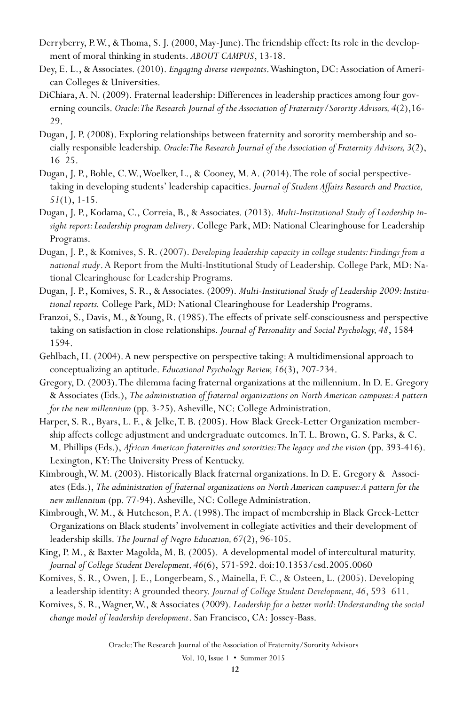- Derryberry, P. W., & Thoma, S. J. (2000, May-June). The friendship effect: Its role in the development of moral thinking in students. *ABOUT CAMPUS*, 13-18.
- Dey, E. L., & Associates. (2010). *Engaging diverse viewpoints*. Washington, DC: Association of American Colleges & Universities.
- DiChiara, A. N. (2009). Fraternal leadership: Differences in leadership practices among four governing councils. *Oracle: The Research Journal of the Association of Fraternity/Sorority Advisors, 4*(2),16- 29.
- Dugan, J. P. (2008). Exploring relationships between fraternity and sorority membership and socially responsible leadership. *Oracle: The Research Journal of the Association of Fraternity Advisors, 3*(2), 16–25.
- Dugan, J. P., Bohle, C. W., Woelker, L., & Cooney, M. A. (2014). The role of social perspectivetaking in developing students' leadership capacities. *Journal of Student Affairs Research and Practice, 51*(1), 1-15*.*
- Dugan, J. P., Kodama, C., Correia, B., & Associates. (2013). *Multi-Institutional Study of Leadership insight report: Leadership program delivery*. College Park, MD: National Clearinghouse for Leadership Programs.
- Dugan, J. P., & Komives, S. R. (2007). *Developing leadership capacity in college students: Findings from a national study*. A Report from the Multi-Institutional Study of Leadership. College Park, MD: National Clearinghouse for Leadership Programs.
- Dugan, J. P., Komives, S. R., & Associates. (2009). *Multi-Institutional Study of Leadership 2009: Institutional reports.* College Park, MD: National Clearinghouse for Leadership Programs.
- Franzoi, S., Davis, M., & Young, R. (1985). The effects of private self-consciousness and perspective taking on satisfaction in close relationships. *Journal of Personality and Social Psychology, 48*, 1584 1594.
- Gehlbach, H. (2004). A new perspective on perspective taking: A multidimensional approach to conceptualizing an aptitude. *Educational Psychology Review, 16*(3), 207-234.
- Gregory, D. (2003). The dilemma facing fraternal organizations at the millennium. In D. E. Gregory & Associates (Eds.), *The administration of fraternal organizations on North American campuses: A pattern for the new millennium* (pp. 3-25). Asheville, NC: College Administration.
- Harper, S. R., Byars, L. F., & Jelke, T. B. (2005). How Black Greek-Letter Organization membership affects college adjustment and undergraduate outcomes. In T. L. Brown, G. S. Parks, & C. M. Phillips (Eds.), *African American fraternities and sororities: The legacy and the vision* (pp. 393-416). Lexington, KY: The University Press of Kentucky.
- Kimbrough, W. M. (2003). Historically Black fraternal organizations. In D. E. Gregory & Associates (Eds.), *The administration of fraternal organizations on North American campuses: A pattern for the new millennium* (pp. 77-94). Asheville, NC: College Administration.
- Kimbrough, W. M., & Hutcheson, P. A. (1998). The impact of membership in Black Greek-Letter Organizations on Black students' involvement in collegiate activities and their development of leadership skills. *The Journal of Negro Education, 67*(2), 96-105.
- King, P. M., & Baxter Magolda, M. B. (2005). A developmental model of intercultural maturity. *Journal of College Student Development, 46*(6), 571-592. doi:10.1353/csd.2005.0060
- Komives, S. R., Owen, J. E., Longerbeam, S., Mainella, F. C., & Osteen, L. (2005). Developing a leadership identity: A grounded theory. *Journal of College Student Development, 46*, 593–611.
- Komives, S. R., Wagner, W., & Associates (2009). *Leadership for a better world: Understanding the social change model of leadership development*. San Francisco, CA: Jossey-Bass.

Oracle: The Research Journal of the Association of Fraternity/Sorority Advisors